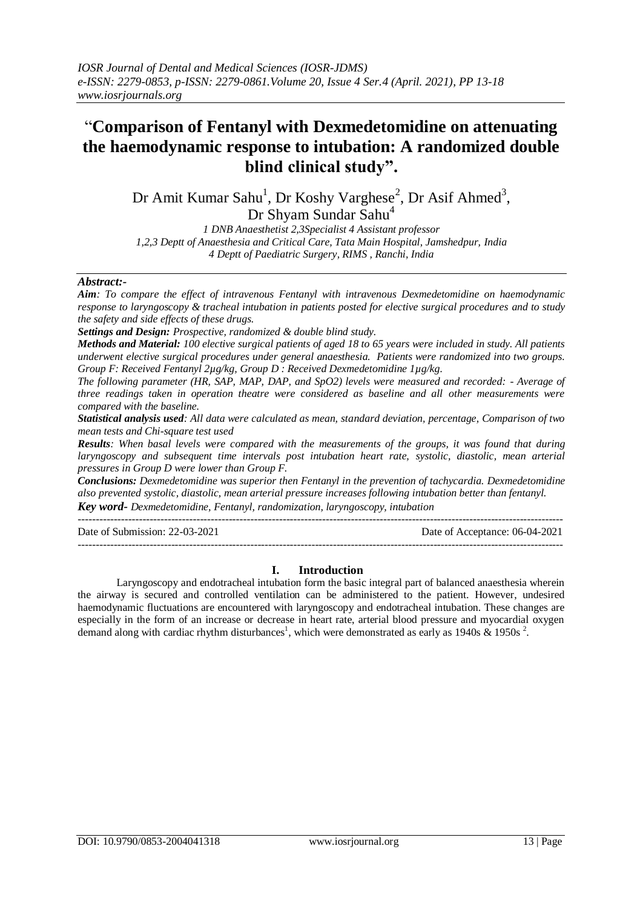# "**Comparison of Fentanyl with Dexmedetomidine on attenuating the haemodynamic response to intubation: A randomized double blind clinical study".**

Dr Amit Kumar Sahu<sup>1</sup>, Dr Koshy Varghese<sup>2</sup>, Dr Asif Ahmed<sup>3</sup>,

Dr Shyam Sundar Sahu<sup>4</sup>

*1 DNB Anaesthetist 2,3Specialist 4 Assistant professor 1,2,3 Deptt of Anaesthesia and Critical Care, Tata Main Hospital, Jamshedpur, India 4 Deptt of Paediatric Surgery, RIMS , Ranchi, India*

# *Abstract:-*

*Aim: To compare the effect of intravenous Fentanyl with intravenous Dexmedetomidine on haemodynamic response to laryngoscopy & tracheal intubation in patients posted for elective surgical procedures and to study the safety and side effects of these drugs.*

*Settings and Design: Prospective, randomized & double blind study.*

*Methods and Material: 100 elective surgical patients of aged 18 to 65 years were included in study. All patients underwent elective surgical procedures under general anaesthesia. Patients were randomized into two groups. Group F: Received Fentanyl 2µg/kg, Group D : Received Dexmedetomidine 1µg/kg.*

*The following parameter (HR, SAP, MAP, DAP, and SpO2) levels were measured and recorded: - Average of three readings taken in operation theatre were considered as baseline and all other measurements were compared with the baseline.* 

*Statistical analysis used: All data were calculated as mean, standard deviation, percentage, Comparison of two mean tests and Chi-square test used*

*Results: When basal levels were compared with the measurements of the groups, it was found that during laryngoscopy and subsequent time intervals post intubation heart rate, systolic, diastolic, mean arterial pressures in Group D were lower than Group F.*

*Conclusions: Dexmedetomidine was superior then Fentanyl in the prevention of tachycardia. Dexmedetomidine also prevented systolic, diastolic, mean arterial pressure increases following intubation better than fentanyl. Key word- Dexmedetomidine, Fentanyl, randomization, laryngoscopy, intubation*

 $-1\leq i\leq n-1\leq n-1\leq n-1\leq n-1\leq n-1\leq n-1\leq n-1\leq n-1\leq n-1\leq n-1\leq n-1\leq n-1\leq n-1\leq n-1\leq n-1\leq n-1\leq n-1\leq n-1\leq n-1\leq n-1\leq n-1\leq n-1\leq n-1\leq n-1\leq n-1\leq n-1\leq n-1\leq n-1\leq n-1\leq n-1\leq n-1\leq n-1\leq n-1\leq n-1\leq n-1\leq n$ 

Date of Submission: 22-03-2021 Date of Acceptance: 06-04-2021

# **I. Introduction**

Laryngoscopy and endotracheal intubation form the basic integral part of balanced anaesthesia wherein the airway is secured and controlled ventilation can be administered to the patient. However, undesired haemodynamic fluctuations are encountered with laryngoscopy and endotracheal intubation. These changes are especially in the form of an increase or decrease in heart rate, arterial blood pressure and myocardial oxygen demand along with cardiac rhythm disturbances<sup>1</sup>, which were demonstrated as early as 1940s  $\&$  1950s<sup>2</sup>.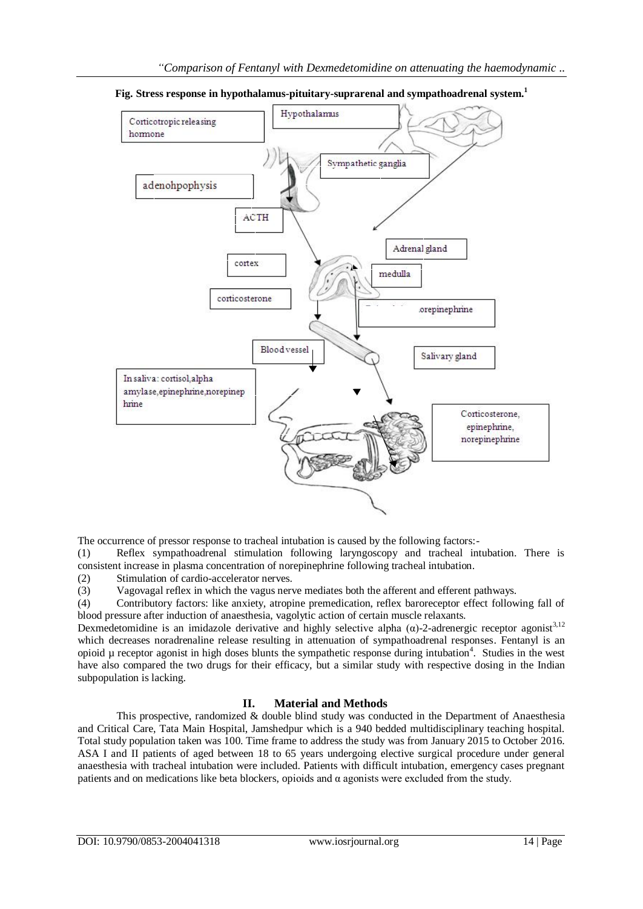

**Fig. Stress response in hypothalamus-pituitary-suprarenal and sympathoadrenal system.<sup>1</sup>**

The occurrence of pressor response to tracheal intubation is caused by the following factors:-

(1) Reflex sympathoadrenal stimulation following laryngoscopy and tracheal intubation. There is consistent increase in plasma concentration of norepinephrine following tracheal intubation.

(2) Stimulation of cardio-accelerator nerves.

(3) Vagovagal reflex in which the vagus nerve mediates both the afferent and efferent pathways.

(4) Contributory factors: like anxiety, atropine premedication, reflex baroreceptor effect following fall of blood pressure after induction of anaesthesia, vagolytic action of certain muscle relaxants.

Dexmedetomidine is an imidazole derivative and highly selective alpha ( $\alpha$ )-2-adrenergic receptor agonist<sup>3,12</sup> which decreases noradrenaline release resulting in attenuation of sympathoadrenal responses. Fentanyl is an opioid µ receptor agonist in high doses blunts the sympathetic response during intubation<sup>4</sup>. Studies in the west have also compared the two drugs for their efficacy, but a similar study with respective dosing in the Indian subpopulation is lacking.

# **II. Material and Methods**

This prospective, randomized & double blind study was conducted in the Department of Anaesthesia and Critical Care, Tata Main Hospital, Jamshedpur which is a 940 bedded multidisciplinary teaching hospital. Total study population taken was 100. Time frame to address the study was from January 2015 to October 2016. ASA I and II patients of aged between 18 to 65 years undergoing elective surgical procedure under general anaesthesia with tracheal intubation were included. Patients with difficult intubation, emergency cases pregnant patients and on medications like beta blockers, opioids and  $\alpha$  agonists were excluded from the study.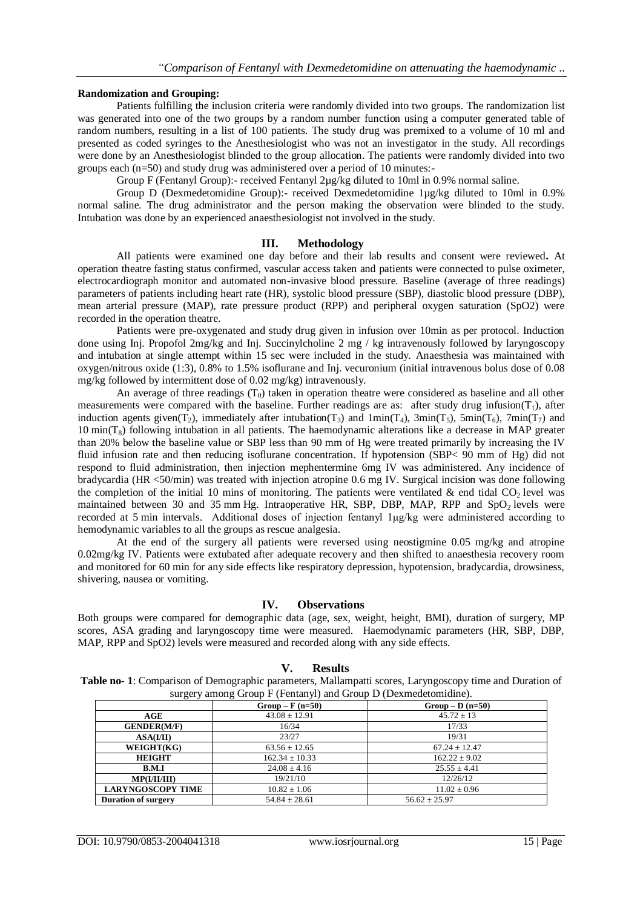#### **Randomization and Grouping:**

Patients fulfilling the inclusion criteria were randomly divided into two groups. The randomization list was generated into one of the two groups by a random number function using a computer generated table of random numbers, resulting in a list of 100 patients. The study drug was premixed to a volume of 10 ml and presented as coded syringes to the Anesthesiologist who was not an investigator in the study. All recordings were done by an Anesthesiologist blinded to the group allocation. The patients were randomly divided into two groups each (n=50) and study drug was administered over a period of 10 minutes:-

Group F (Fentanyl Group):- received Fentanyl 2µg/kg diluted to 10ml in 0.9% normal saline.

Group D (Dexmedetomidine Group):- received Dexmedetomidine 1µg/kg diluted to 10ml in 0.9% normal saline. The drug administrator and the person making the observation were blinded to the study. Intubation was done by an experienced anaesthesiologist not involved in the study.

#### **III. Methodology**

All patients were examined one day before and their lab results and consent were reviewed**.** At operation theatre fasting status confirmed, vascular access taken and patients were connected to pulse oximeter, electrocardiograph monitor and automated non-invasive blood pressure. Baseline (average of three readings) parameters of patients including heart rate (HR), systolic blood pressure (SBP), diastolic blood pressure (DBP), mean arterial pressure (MAP), rate pressure product (RPP) and peripheral oxygen saturation (SpO2) were recorded in the operation theatre.

Patients were pre-oxygenated and study drug given in infusion over 10min as per protocol. Induction done using Inj. Propofol 2mg/kg and Inj. Succinylcholine 2 mg / kg intravenously followed by laryngoscopy and intubation at single attempt within 15 sec were included in the study. Anaesthesia was maintained with oxygen/nitrous oxide (1:3), 0.8% to 1.5% isoflurane and Inj. vecuronium (initial intravenous bolus dose of 0.08 mg/kg followed by intermittent dose of 0.02 mg/kg) intravenously.

An average of three readings  $(T_0)$  taken in operation theatre were considered as baseline and all other measurements were compared with the baseline. Further readings are as: after study drug infusion( $T_1$ ), after induction agents given(T<sub>2</sub>), immediately after intubation(T<sub>3</sub>) and  $1min(T_4)$ ,  $3min(T_5)$ ,  $5min(T_6)$ ,  $7min(T_7)$  and  $10 \text{ min}(T_8)$  following intubation in all patients. The haemodynamic alterations like a decrease in MAP greater than 20% below the baseline value or SBP less than 90 mm of Hg were treated primarily by increasing the IV fluid infusion rate and then reducing isoflurane concentration. If hypotension (SBP< 90 mm of Hg) did not respond to fluid administration, then injection mephentermine 6mg IV was administered. Any incidence of bradycardia (HR <50/min) was treated with injection atropine 0.6 mg IV. Surgical incision was done following the completion of the initial 10 mins of monitoring. The patients were ventilated & end tidal  $CO<sub>2</sub>$  level was maintained between 30 and 35 mm Hg. Intraoperative HR, SBP, DBP, MAP, RPP and  $SpO<sub>2</sub>$  levels were recorded at 5 min intervals. Additional doses of injection fentanyl 1μg/kg were administered according to hemodynamic variables to all the groups as rescue analgesia.

At the end of the surgery all patients were reversed using neostigmine 0.05 mg/kg and atropine 0.02mg/kg IV. Patients were extubated after adequate recovery and then shifted to anaesthesia recovery room and monitored for 60 min for any side effects like respiratory depression, hypotension, bradycardia, drowsiness, shivering, nausea or vomiting.

#### **IV. Observations**

Both groups were compared for demographic data (age, sex, weight, height, BMI), duration of surgery, MP scores, ASA grading and laryngoscopy time were measured. Haemodynamic parameters (HR, SBP, DBP, MAP, RPP and SpO2) levels were measured and recorded along with any side effects.

#### **V. Results**

**Table no- 1**: Comparison of Demographic parameters, Mallampatti scores, Laryngoscopy time and Duration of surgery among Group F (Fentanyl) and Group D (Dexmedetomidine).

|                            | $Group - F (n=50)$ | $Group - D (n=50)$ |
|----------------------------|--------------------|--------------------|
| AGE                        | $43.08 \pm 12.91$  | $45.72 \pm 13$     |
| <b>GENDER(M/F)</b>         | 16/34              | 17/33              |
| ASA(II)                    | 23/27              | 19/31              |
| WEIGHT(KG)                 | $63.56 \pm 12.65$  | $67.24 \pm 12.47$  |
| <b>HEIGHT</b>              | $162.34 \pm 10.33$ | $162.22 + 9.02$    |
| B.M.I                      | $24.08 + 4.16$     | $25.55 + 4.41$     |
| MP(I/II/III)               | 19/21/10           | 12/26/12           |
| <b>LARYNGOSCOPY TIME</b>   | $10.82 \pm 1.06$   | $11.02 \pm 0.96$   |
| <b>Duration of surgery</b> | $54.84 + 28.61$    | $56.62 \pm 25.97$  |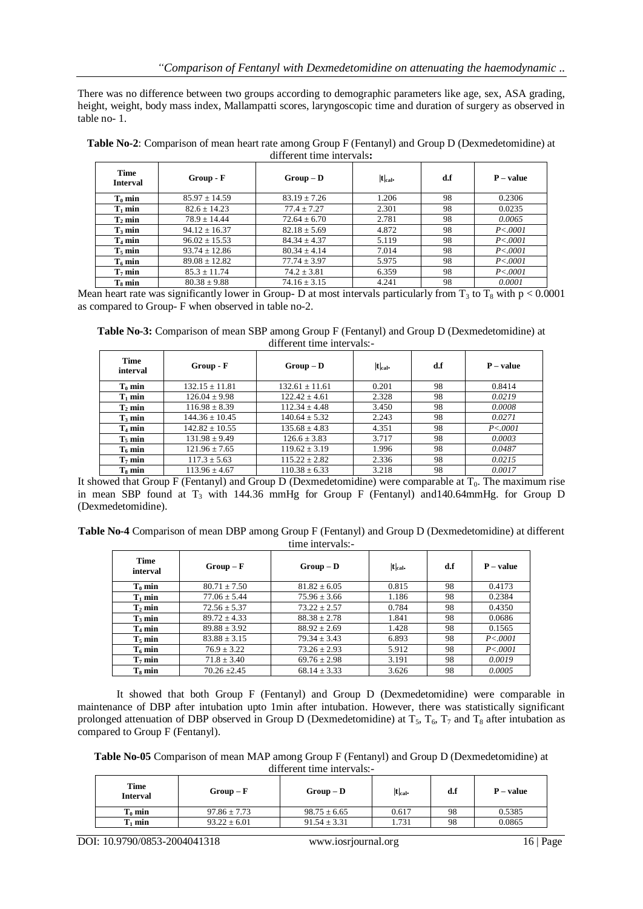There was no difference between two groups according to demographic parameters like age, sex, ASA grading, height, weight, body mass index, Mallampatti scores, laryngoscopic time and duration of surgery as observed in table no- 1.

| Time<br><b>Interval</b> | Group - F         | $Group - D$      | $ t _{cal}$ | d.f | $P-value$ |  |  |  |
|-------------------------|-------------------|------------------|-------------|-----|-----------|--|--|--|
| $T_0$ min               | $85.97 \pm 14.59$ | $83.19 \pm 7.26$ | 1.206       | 98  | 0.2306    |  |  |  |
| $T_1$ min               | $82.6 \pm 14.23$  | $77.4 \pm 7.27$  | 2.301       | 98  | 0.0235    |  |  |  |
| $T_2$ min               | $78.9 \pm 14.44$  | $72.64 \pm 6.70$ | 2.781       | 98  | 0.0065    |  |  |  |
| $T_3$ min               | $94.12 \pm 16.37$ | $82.18 \pm 5.69$ | 4.872       | 98  | P < .0001 |  |  |  |
| $T_4$ min               | $96.02 \pm 15.53$ | $84.34 \pm 4.37$ | 5.119       | 98  | P < .0001 |  |  |  |
| $T_5$ min               | $93.74 \pm 12.86$ | $80.34 + 4.14$   | 7.014       | 98  | P < .0001 |  |  |  |
| $T_6$ min               | $89.08 \pm 12.82$ | $77.74 \pm 3.97$ | 5.975       | 98  | P < .0001 |  |  |  |
| $T_7$ min               | $85.3 \pm 11.74$  | $74.2 \pm 3.81$  | 6.359       | 98  | P < .0001 |  |  |  |
| $T_s$ min               | $80.38 \pm 9.88$  | $74.16 \pm 3.15$ | 4.241       | 98  | 0.0001    |  |  |  |

**Table No-2**: Comparison of mean heart rate among Group F (Fentanyl) and Group D (Dexmedetomidine) at different time intervals**:**

Mean heart rate was significantly lower in Group- D at most intervals particularly from  $T_3$  to  $T_8$  with  $p < 0.0001$ as compared to Group- F when observed in table no-2.

**Table No-3:** Comparison of mean SBP among Group F (Fentanyl) and Group D (Dexmedetomidine) at different time intervals:-

| Time<br>interval   | Group - F          | $Group - D$        | $ t _{cal}$ . | d.f | $P - value$ |
|--------------------|--------------------|--------------------|---------------|-----|-------------|
| $T_0$ min          | $132.15 \pm 11.81$ | $132.61 \pm 11.61$ | 0.201         | 98  | 0.8414      |
| $T_1$ min          | $126.04 \pm 9.98$  | $122.42 \pm 4.61$  | 2.328         | 98  | 0.0219      |
| $T_2$ min          | $116.98 \pm 8.39$  | $112.34 \pm 4.48$  | 3.450         | 98  | 0.0008      |
| $T_3$ min          | $144.36 \pm 10.45$ | $140.64 \pm 5.32$  | 2.243         | 98  | 0.0271      |
| $T_4$ min          | $142.82 \pm 10.55$ | $135.68 \pm 4.83$  | 4.351         | 98  | P < .0001   |
| T <sub>5</sub> min | $131.98 \pm 9.49$  | $126.6 \pm 3.83$   | 3.717         | 98  | 0.0003      |
| $T_6$ min          | $121.96 \pm 7.65$  | $119.62 \pm 3.19$  | 1.996         | 98  | 0.0487      |
| $T_7$ min          | $117.3 \pm 5.63$   | $115.22 \pm 2.82$  | 2.336         | 98  | 0.0215      |
| $T_8$ min          | $113.96 \pm 4.67$  | $110.38 \pm 6.33$  | 3.218         | 98  | 0.0017      |

It showed that Group F (Fentanyl) and Group D (Dexmedetomidine) were comparable at  $T_0$ . The maximum rise in mean SBP found at  $T_3$  with 144.36 mmHg for Group F (Fentanyl) and 140.64mmHg. for Group D (Dexmedetomidine).

**Table No-4** Comparison of mean DBP among Group F (Fentanyl) and Group D (Dexmedetomidine) at different time intervals:-

| Time<br>interval   | $Group-F$        | $Group - D$      | $ t _{cal}$ . | d.f | $P - value$ |
|--------------------|------------------|------------------|---------------|-----|-------------|
| $T_0$ min          | $80.71 \pm 7.50$ | $81.82 \pm 6.05$ | 0.815         | 98  | 0.4173      |
| $T_1$ min          | $77.06 \pm 5.44$ | $75.96 \pm 3.66$ | 1.186         | 98  | 0.2384      |
| $T_2$ min          | $72.56 \pm 5.37$ | $73.22 + 2.57$   | 0.784         | 98  | 0.4350      |
| $T_3$ min          | $89.72 \pm 4.33$ | $88.38 \pm 2.78$ | 1.841         | 98  | 0.0686      |
| $T_4$ min          | $89.88 \pm 3.92$ | $88.92 \pm 2.69$ | 1.428         | 98  | 0.1565      |
| T <sub>5</sub> min | $83.88 \pm 3.15$ | $79.34 \pm 3.43$ | 6.893         | 98  | P < .0001   |
| $T_6$ min          | $76.9 + 3.22$    | $73.26 \pm 2.93$ | 5.912         | 98  | P < .0001   |
| T <sub>7</sub> min | $71.8 \pm 3.40$  | $69.76 \pm 2.98$ | 3.191         | 98  | 0.0019      |
| $T_s$ min          | $70.26 + 2.45$   | $68.14 \pm 3.33$ | 3.626         | 98  | 0.0005      |

It showed that both Group F (Fentanyl) and Group D (Dexmedetomidine) were comparable in maintenance of DBP after intubation upto 1min after intubation. However, there was statistically significant prolonged attenuation of DBP observed in Group D (Dexmedetomidine) at  $T_5$ ,  $T_6$ ,  $T_7$  and  $T_8$  after intubation as compared to Group F (Fentanyl).

**Table No-05** Comparison of mean MAP among Group F (Fentanyl) and Group D (Dexmedetomidine) at different time intervals:-

| Time<br><b>Interval</b> | $Group-F$        | $Group - D$      | $ t _{cal}$ | d.f | P – value |
|-------------------------|------------------|------------------|-------------|-----|-----------|
| $T_0$ min               | $97.86 \pm 7.73$ | $98.75 \pm 6.65$ | 0.617       | 98  | 0.5385    |
| $T_1$ min               | $93.22 \pm 6.01$ | $91.54 \pm 3.31$ | 1.731       | 98  | 0.0865    |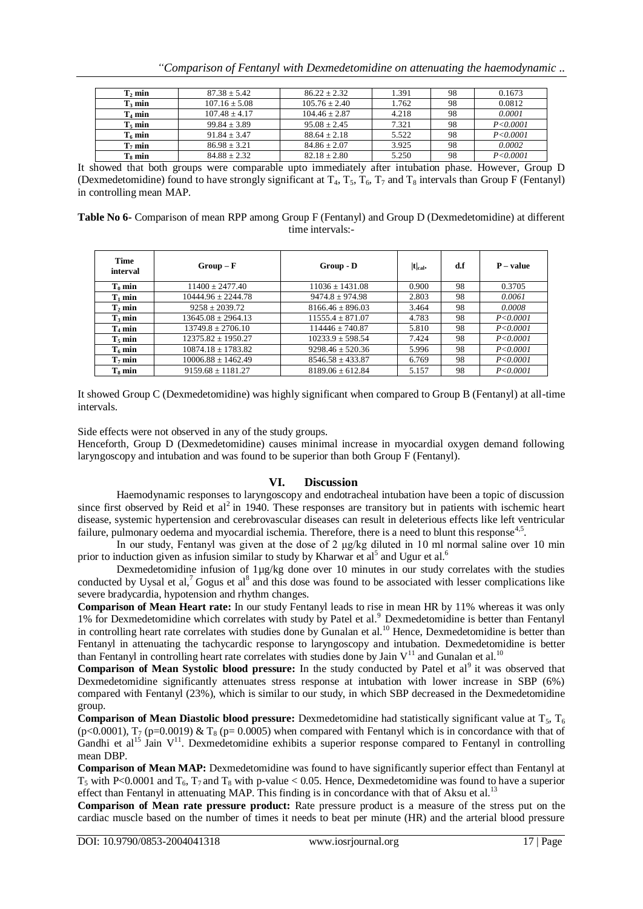|  |  |  |  | "Comparison of Fentanyl with Dexmedetomidine on attenuating the haemodynamic |  |  |
|--|--|--|--|------------------------------------------------------------------------------|--|--|
|  |  |  |  |                                                                              |  |  |

| $T_2$ min          | $87.38 + 5.42$    | $86.22 + 2.32$    | 1.391                       | 98  | 0.1673         |
|--------------------|-------------------|-------------------|-----------------------------|-----|----------------|
| $T_3$ min          | $107.16 \pm 5.08$ | $105.76 \pm 2.40$ | 1.762                       | 98  | 0.0812         |
| $T_4$ min          | $107.48 + 4.17$   | $104.46 + 2.87$   | 4.218                       | 98  | 0.0001         |
| T <sub>5</sub> min | $99.84 + 3.89$    | $95.08 + 2.45$    | 7.321                       | 98  | P < 0.0001     |
| $T_6$ min          | $91.84 + 3.47$    | $88.64 + 2.18$    | 5.522                       | 98  | P < 0.0001     |
| T <sub>7</sub> min | $86.98 + 3.21$    | $84.86 + 2.07$    | 3.925                       | 98  | 0.0002         |
| $T_s$ min          | $84.88 + 2.32$    | $82.18 \pm 2.80$  | 5.250                       | 98  | P < 0.0001     |
| .                  | . .               | .                 | $\sim$ $\sim$ $\sim$ $\sim$ | . . | $ -$<br>$\sim$ |

It showed that both groups were comparable upto immediately after intubation phase. However, Group D (Dexmedetomidine) found to have strongly significant at  $T_4$ ,  $T_5$ ,  $T_6$ ,  $T_7$  and  $T_8$  intervals than Group F (Fentanyl) in controlling mean MAP.

| Table No 6- Comparison of mean RPP among Group F (Fentanyl) and Group D (Dexmedetomidine) at different |                  |  |
|--------------------------------------------------------------------------------------------------------|------------------|--|
|                                                                                                        | time intervals:- |  |

| Time<br>interval | $Group-F$              | Group - D            | $ t _{cal}$ . | d.f | $P - value$ |
|------------------|------------------------|----------------------|---------------|-----|-------------|
| $T_0$ min        | $11400 \pm 2477.40$    | $11036 \pm 1431.08$  | 0.900         | 98  | 0.3705      |
| $T_1$ min        | $10444.96 \pm 2244.78$ | $9474.8 \pm 974.98$  | 2.803         | 98  | 0.0061      |
| $T_2$ min        | $9258 \pm 2039.72$     | $8166.46 \pm 896.03$ | 3.464         | 98  | 0.0008      |
| $T_3$ min        | $13645.08 \pm 2964.13$ | $11555.4 \pm 871.07$ | 4.783         | 98  | P < 0.0001  |
| $T_4$ min        | $13749.8 \pm 2706.10$  | $114446 \pm 740.87$  | 5.810         | 98  | P < 0.0001  |
| $T_5$ min        | $12375.82 \pm 1950.27$ | $10233.9 \pm 598.54$ | 7.424         | 98  | P < 0.0001  |
| $T_6$ min        | $10874.18 \pm 1783.82$ | $9298.46 \pm 520.36$ | 5.996         | 98  | P < 0.0001  |
| $T_7$ min        | $10006.88 \pm 1462.49$ | $8546.58 \pm 433.87$ | 6.769         | 98  | P < 0.0001  |
| $T_s$ min        | $9159.68 \pm 1181.27$  | $8189.06 \pm 612.84$ | 5.157         | 98  | P < 0.0001  |

It showed Group C (Dexmedetomidine) was highly significant when compared to Group B (Fentanyl) at all-time intervals.

Side effects were not observed in any of the study groups.

Henceforth, Group D (Dexmedetomidine) causes minimal increase in myocardial oxygen demand following laryngoscopy and intubation and was found to be superior than both Group F (Fentanyl).

## **VI. Discussion**

Haemodynamic responses to laryngoscopy and endotracheal intubation have been a topic of discussion since first observed by Reid et al<sup>2</sup> in 1940. These responses are transitory but in patients with ischemic heart disease, systemic hypertension and cerebrovascular diseases can result in deleterious effects like left ventricular failure, pulmonary oedema and myocardial ischemia. Therefore, there is a need to blunt this response<sup>4,5</sup> .

In our study, Fentanyl was given at the dose of 2  $\mu$ g/kg diluted in 10 ml normal saline over 10 min prior to induction given as infusion similar to study by Kharwar et al<sup>5</sup> and Ugur et al.<sup>6</sup>

Dexmedetomidine infusion of 1µg/kg done over 10 minutes in our study correlates with the studies conducted by Uysal et al,<sup>7</sup> Gogus et al<sup>8</sup> and this dose was found to be associated with lesser complications like severe bradycardia, hypotension and rhythm changes.

**Comparison of Mean Heart rate:** In our study Fentanyl leads to rise in mean HR by 11% whereas it was only 1% for Dexmedetomidine which correlates with study by Patel et al.<sup>9</sup> Dexmedetomidine is better than Fentanyl in controlling heart rate correlates with studies done by Gunalan et al.<sup>10</sup> Hence, Dexmedetomidine is better than Fentanyl in attenuating the tachycardic response to laryngoscopy and intubation. Dexmedetomidine is better than Fentanyl in controlling heart rate correlates with studies done by Jain  $V^{11}$  and Gunalan et al.<sup>10</sup>

Comparison of Mean Systolic blood pressure: In the study conducted by Patel et al<sup>9</sup> it was observed that Dexmedetomidine significantly attenuates stress response at intubation with lower increase in SBP (6%) compared with Fentanyl (23%), which is similar to our study, in which SBP decreased in the Dexmedetomidine group.

**Comparison of Mean Diastolic blood pressure:** Dexmedetomidine had statistically significant value at  $T_5$ ,  $T_6$ (p<0.0001),  $T_7$  (p=0.0019) &  $T_8$  (p= 0.0005) when compared with Fentanyl which is in concordance with that of Gandhi et al<sup>15</sup> Jain  $V^{11}$ . Dexmedetomidine exhibits a superior response compared to Fentanyl in controlling mean DBP.

**Comparison of Mean MAP:** Dexmedetomidine was found to have significantly superior effect than Fentanyl at  $T_5$  with P<0.0001 and  $T_6$ ,  $T_7$  and  $T_8$  with p-value < 0.05. Hence, Dexmedetomidine was found to have a superior effect than Fentanyl in attenuating MAP. This finding is in concordance with that of Aksu et al.<sup>13</sup>

**Comparison of Mean rate pressure product:** Rate pressure product is a measure of the stress put on the cardiac muscle based on the number of times it needs to beat per minute (HR) and the arterial blood pressure